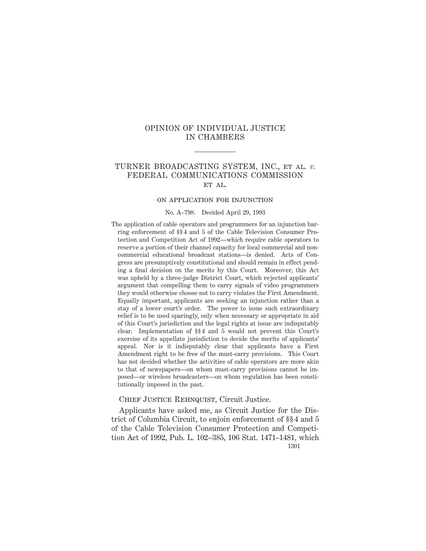## OPINION OF INDIVIDUAL JUSTICE IN CHAMBERS

## TURNER BROADCASTING SYSTEM, INC., et al. *v.* FEDERAL COMMUNICATIONS COMMISSION ET AL.

# on application for injunction

### No. A–798. Decided April 29, 1993

The application of cable operators and programmers for an injunction barring enforcement of §§ 4 and 5 of the Cable Television Consumer Protection and Competition Act of 1992—which require cable operators to reserve a portion of their channel capacity for local commercial and noncommercial educational broadcast stations—is denied. Acts of Congress are presumptively constitutional and should remain in effect pending a final decision on the merits by this Court. Moreover, this Act was upheld by a three-judge District Court, which rejected applicants' argument that compelling them to carry signals of video programmers they would otherwise choose not to carry violates the First Amendment. Equally important, applicants are seeking an injunction rather than a stay of a lower court's order. The power to issue such extraordinary relief is to be used sparingly, only when necessary or appropriate in aid of this Court's jurisdiction and the legal rights at issue are indisputably clear. Implementation of §§ 4 and 5 would not prevent this Court's exercise of its appellate jurisdiction to decide the merits of applicants' appeal. Nor is it indisputably clear that applicants have a First Amendment right to be free of the must-carry provisions. This Court has not decided whether the activities of cable operators are more akin to that of newspapers—on whom must-carry provisions cannot be imposed—or wireless broadcasters—on whom regulation has been constitutionally imposed in the past.

### CHIEF JUSTICE REHNQUIST, Circuit Justice.

Applicants have asked me, as Circuit Justice for the District of Columbia Circuit, to enjoin enforcement of §§ 4 and 5 of the Cable Television Consumer Protection and Competition Act of 1992, Pub. L. 102–385, 106 Stat. 1471–1481, which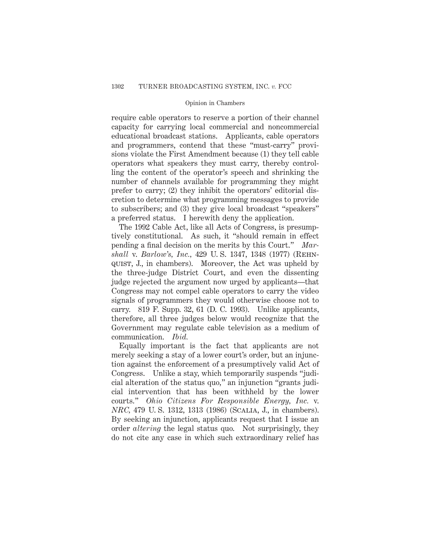### Opinion in Chambers

require cable operators to reserve a portion of their channel capacity for carrying local commercial and noncommercial educational broadcast stations. Applicants, cable operators and programmers, contend that these "must-carry" provisions violate the First Amendment because (1) they tell cable operators what speakers they must carry, thereby controlling the content of the operator's speech and shrinking the number of channels available for programming they might prefer to carry; (2) they inhibit the operators' editorial discretion to determine what programming messages to provide to subscribers; and (3) they give local broadcast "speakers" a preferred status. I herewith deny the application.

The 1992 Cable Act, like all Acts of Congress, is presumptively constitutional. As such, it "should remain in effect pending a final decision on the merits by this Court." *Marshall* v. *Barlow's, Inc.,* 429 U. S. 1347, 1348 (1977) (Rehnquist, J., in chambers). Moreover, the Act was upheld by the three-judge District Court, and even the dissenting judge rejected the argument now urged by applicants—that Congress may not compel cable operators to carry the video signals of programmers they would otherwise choose not to carry. 819 F. Supp. 32, 61 (D. C. 1993). Unlike applicants, therefore, all three judges below would recognize that the Government may regulate cable television as a medium of communication. *Ibid.*

Equally important is the fact that applicants are not merely seeking a stay of a lower court's order, but an injunction against the enforcement of a presumptively valid Act of Congress. Unlike a stay, which temporarily suspends "judicial alteration of the status quo," an injunction "grants judicial intervention that has been withheld by the lower courts." *Ohio Citizens For Responsible Energy, Inc.* v. *NRC,* 479 U. S. 1312, 1313 (1986) (Scalia, J., in chambers). By seeking an injunction, applicants request that I issue an order *altering* the legal status quo. Not surprisingly, they do not cite any case in which such extraordinary relief has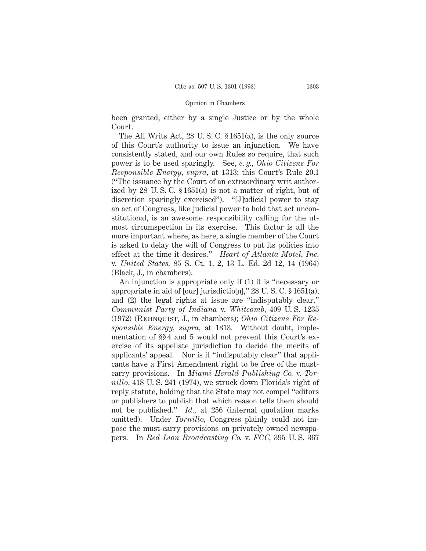#### Opinion in Chambers

been granted, either by a single Justice or by the whole Court.

The All Writs Act, 28 U. S. C. § 1651(a), is the only source of this Court's authority to issue an injunction. We have consistently stated, and our own Rules so require, that such power is to be used sparingly. See, *e. g., Ohio Citizens For Responsible Energy, supra,* at 1313; this Court's Rule 20.1 ("The issuance by the Court of an extraordinary writ authorized by 28 U. S. C. § 1651(a) is not a matter of right, but of discretion sparingly exercised"). "[J]udicial power to stay an act of Congress, like judicial power to hold that act unconstitutional, is an awesome responsibility calling for the utmost circumspection in its exercise. This factor is all the more important where, as here, a single member of the Court is asked to delay the will of Congress to put its policies into effect at the time it desires." *Heart of Atlanta Motel, Inc.* v. *United States,* 85 S. Ct. 1, 2, 13 L. Ed. 2d 12, 14 (1964) (Black, J., in chambers).

An injunction is appropriate only if (1) it is "necessary or appropriate in aid of [our] jurisdictio[n]," 28 U. S. C. § 1651(a), and (2) the legal rights at issue are "indisputably clear," *Communist Party of Indiana* v. *Whitcomb,* 409 U. S. 1235 (1972) (Rehnquist, J., in chambers); *Ohio Citizens For Responsible Energy, supra,* at 1313. Without doubt, implementation of §§ 4 and 5 would not prevent this Court's exercise of its appellate jurisdiction to decide the merits of applicants' appeal. Nor is it "indisputably clear" that applicants have a First Amendment right to be free of the mustcarry provisions. In *Miami Herald Publishing Co.* v. *Tornillo,* 418 U. S. 241 (1974), we struck down Florida's right of reply statute, holding that the State may not compel "editors or publishers to publish that which reason tells them should not be published." *Id.,* at 256 (internal quotation marks omitted). Under *Tornillo,* Congress plainly could not impose the must-carry provisions on privately owned newspapers. In *Red Lion Broadcasting Co.* v. *FCC,* 395 U. S. 367